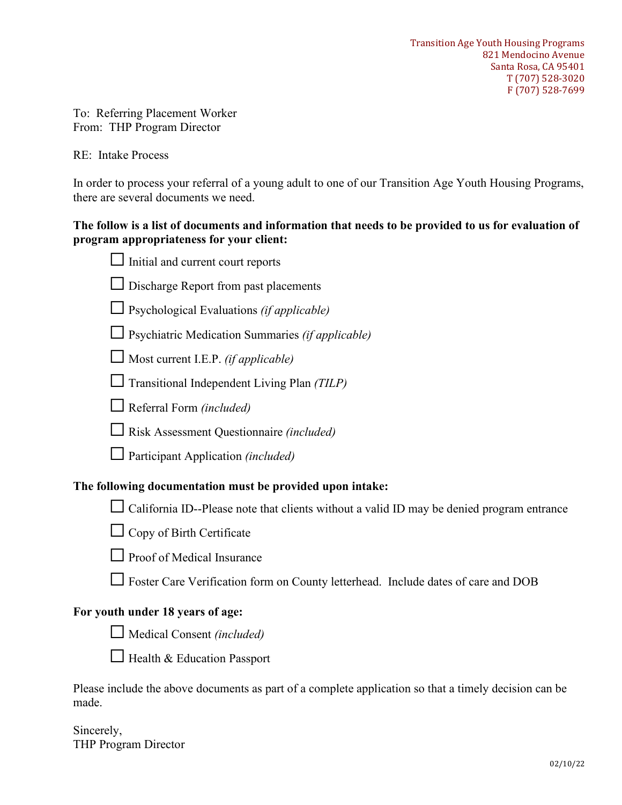To: Referring Placement Worker From: THP Program Director

RE: Intake Process

In order to process your referral of a young adult to one of our Transition Age Youth Housing Programs, there are several documents we need.

### **The follow is a list of documents and information that needs to be provided to us for evaluation of program appropriateness for your client:**

| Initial and current court reports                                                                              |
|----------------------------------------------------------------------------------------------------------------|
| Discharge Report from past placements                                                                          |
| $\Box$ Psychological Evaluations (if applicable)                                                               |
| Psychiatric Medication Summaries (if applicable)                                                               |
| $\Box$ Most current I.E.P. (if applicable)                                                                     |
| Transitional Independent Living Plan (TILP)                                                                    |
| Referral Form (included)                                                                                       |
| $\Box$ Risk Assessment Questionnaire <i>(included)</i>                                                         |
| $\Box$ Participant Application (included)                                                                      |
| The following documentation must be provided upon intake:                                                      |
| California ID--Please note that clients without a valid ID may be denied program entrance                      |
| Copy of Birth Certificate                                                                                      |
| Proof of Medical Insurance                                                                                     |
| Foster Care Verification form on County letterhead. Include dates of care and DOB                              |
| For youth under 18 years of age:                                                                               |
| $\Box$ Medical Consent <i>(included)</i>                                                                       |
| $\Box$ Health & Education Passport                                                                             |
| Please include the above documents as part of a complete application so that a timely decision can be<br>made. |

Sincerely, THP Program Director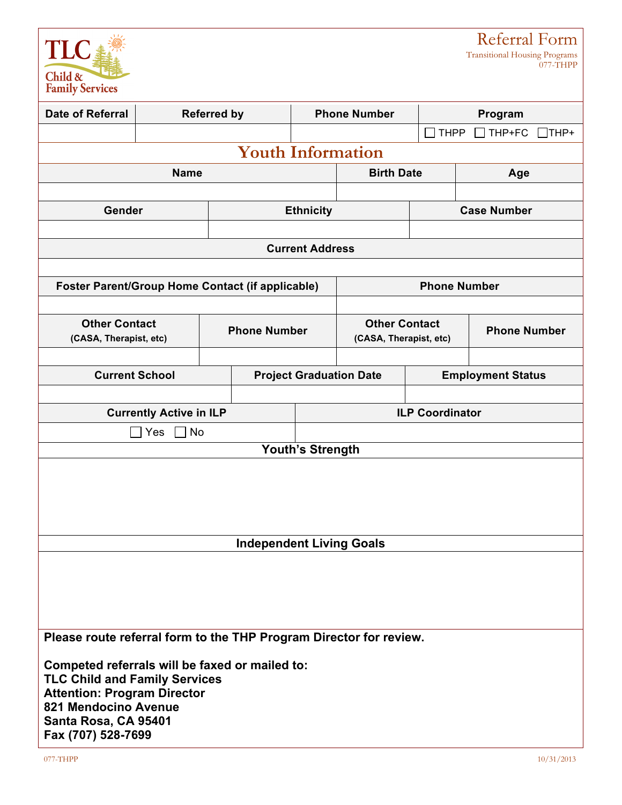

Referral Form Transitional Housing Programs

077-THPP

| <b>Date of Referral</b>                                                                                                                                                                            |                                             | <b>Referred by</b>                                      | <b>Phone Number</b>            |                                                |                    | Program                  |  |
|----------------------------------------------------------------------------------------------------------------------------------------------------------------------------------------------------|---------------------------------------------|---------------------------------------------------------|--------------------------------|------------------------------------------------|--------------------|--------------------------|--|
|                                                                                                                                                                                                    |                                             |                                                         |                                |                                                | <b>THPP</b>        | THP+FC<br>$\sqcap$ THP+  |  |
|                                                                                                                                                                                                    |                                             | <b>Youth Information</b>                                |                                |                                                |                    |                          |  |
|                                                                                                                                                                                                    | <b>Name</b>                                 |                                                         |                                | <b>Birth Date</b>                              |                    | Age                      |  |
|                                                                                                                                                                                                    |                                             |                                                         |                                |                                                |                    |                          |  |
| Gender                                                                                                                                                                                             |                                             |                                                         | <b>Ethnicity</b>               |                                                | <b>Case Number</b> |                          |  |
|                                                                                                                                                                                                    |                                             |                                                         |                                |                                                |                    |                          |  |
|                                                                                                                                                                                                    |                                             |                                                         | <b>Current Address</b>         |                                                |                    |                          |  |
|                                                                                                                                                                                                    |                                             |                                                         |                                |                                                |                    |                          |  |
|                                                                                                                                                                                                    |                                             | <b>Foster Parent/Group Home Contact (if applicable)</b> |                                |                                                |                    | <b>Phone Number</b>      |  |
|                                                                                                                                                                                                    |                                             |                                                         |                                |                                                |                    |                          |  |
| <b>Other Contact</b><br>(CASA, Therapist, etc)                                                                                                                                                     |                                             | <b>Phone Number</b>                                     |                                | <b>Other Contact</b><br>(CASA, Therapist, etc) |                    | <b>Phone Number</b>      |  |
|                                                                                                                                                                                                    |                                             |                                                         |                                |                                                |                    |                          |  |
| <b>Current School</b>                                                                                                                                                                              |                                             |                                                         | <b>Project Graduation Date</b> |                                                |                    | <b>Employment Status</b> |  |
|                                                                                                                                                                                                    |                                             |                                                         |                                |                                                |                    |                          |  |
|                                                                                                                                                                                                    | <b>Currently Active in ILP</b><br>Yes<br>No |                                                         | <b>ILP Coordinator</b>         |                                                |                    |                          |  |
|                                                                                                                                                                                                    |                                             |                                                         |                                |                                                |                    |                          |  |
| <b>Youth's Strength</b>                                                                                                                                                                            |                                             |                                                         |                                |                                                |                    |                          |  |
|                                                                                                                                                                                                    |                                             | <b>Independent Living Goals</b>                         |                                |                                                |                    |                          |  |
|                                                                                                                                                                                                    |                                             |                                                         |                                |                                                |                    |                          |  |
| Please route referral form to the THP Program Director for review.                                                                                                                                 |                                             |                                                         |                                |                                                |                    |                          |  |
| Competed referrals will be faxed or mailed to:<br><b>TLC Child and Family Services</b><br><b>Attention: Program Director</b><br>821 Mendocino Avenue<br>Santa Rosa, CA 95401<br>Fax (707) 528-7699 |                                             |                                                         |                                |                                                |                    |                          |  |
| 077-THPP                                                                                                                                                                                           |                                             |                                                         |                                |                                                |                    | 10/31/2013               |  |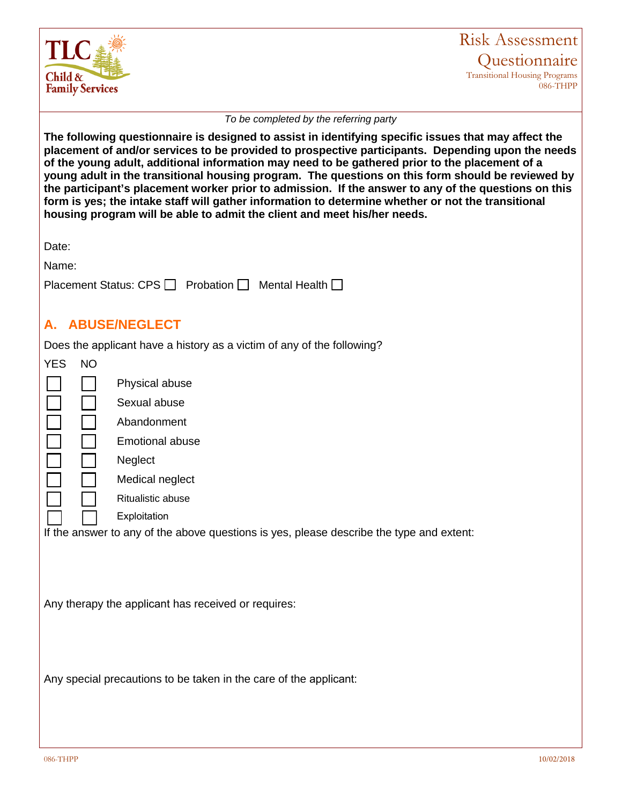

### Risk Assessment **Questionnaire** Transitional Housing Programs 086-THPP

#### *To be completed by the referring party*

**The following questionnaire is designed to assist in identifying specific issues that may affect the placement of and/or services to be provided to prospective participants. Depending upon the needs of the young adult, additional information may need to be gathered prior to the placement of a young adult in the transitional housing program. The questions on this form should be reviewed by the participant's placement worker prior to admission. If the answer to any of the questions on this form is yes; the intake staff will gather information to determine whether or not the transitional housing program will be able to admit the client and meet his/her needs.**

Date:

Name:

| Placement Status: CPS □ Probation □ Mental Health □ |  |  |
|-----------------------------------------------------|--|--|
|-----------------------------------------------------|--|--|

## **A. ABUSE/NEGLECT**

Does the applicant have a history as a victim of any of the following?

| <b>YES</b>                                                        | <b>NO</b> |                                                                                          |  |  |
|-------------------------------------------------------------------|-----------|------------------------------------------------------------------------------------------|--|--|
|                                                                   |           | Physical abuse                                                                           |  |  |
|                                                                   |           | Sexual abuse                                                                             |  |  |
|                                                                   |           | Abandonment                                                                              |  |  |
|                                                                   |           | <b>Emotional abuse</b>                                                                   |  |  |
|                                                                   |           | <b>Neglect</b>                                                                           |  |  |
|                                                                   |           | Medical neglect                                                                          |  |  |
|                                                                   |           | Ritualistic abuse                                                                        |  |  |
|                                                                   |           | Exploitation                                                                             |  |  |
|                                                                   |           | If the answer to any of the above questions is yes, please describe the type and extent: |  |  |
|                                                                   |           |                                                                                          |  |  |
| Any therapy the applicant has received or requires:               |           |                                                                                          |  |  |
|                                                                   |           |                                                                                          |  |  |
|                                                                   |           |                                                                                          |  |  |
|                                                                   |           |                                                                                          |  |  |
| Any special precautions to be taken in the care of the applicant: |           |                                                                                          |  |  |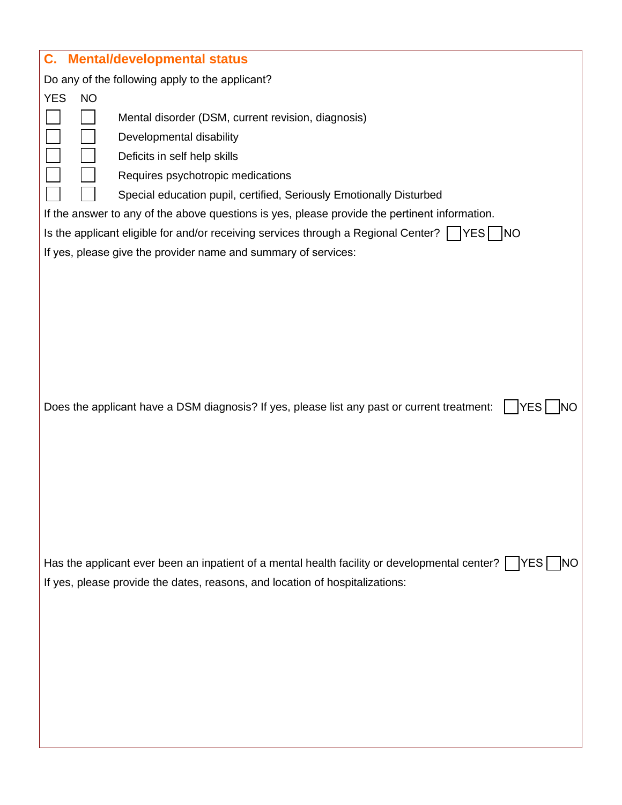| C.                      | <b>Mental/developmental status</b>                                                                                                                                                                                                                                                                                                                                                                                                                                                                          |
|-------------------------|-------------------------------------------------------------------------------------------------------------------------------------------------------------------------------------------------------------------------------------------------------------------------------------------------------------------------------------------------------------------------------------------------------------------------------------------------------------------------------------------------------------|
|                         | Do any of the following apply to the applicant?                                                                                                                                                                                                                                                                                                                                                                                                                                                             |
| <b>YES</b><br><b>NO</b> |                                                                                                                                                                                                                                                                                                                                                                                                                                                                                                             |
|                         | Mental disorder (DSM, current revision, diagnosis)<br>Developmental disability<br>Deficits in self help skills<br>Requires psychotropic medications<br>Special education pupil, certified, Seriously Emotionally Disturbed<br>If the answer to any of the above questions is yes, please provide the pertinent information.<br>Is the applicant eligible for and/or receiving services through a Regional Center? $\vert \vert$  YES   NO<br>If yes, please give the provider name and summary of services: |
|                         | Does the applicant have a DSM diagnosis? If yes, please list any past or current treatment:<br><b>YES</b>                                                                                                                                                                                                                                                                                                                                                                                                   |
|                         | Has the applicant ever been an inpatient of a mental health facility or developmental center? $\vert \vert$ YES<br>If yes, please provide the dates, reasons, and location of hospitalizations:                                                                                                                                                                                                                                                                                                             |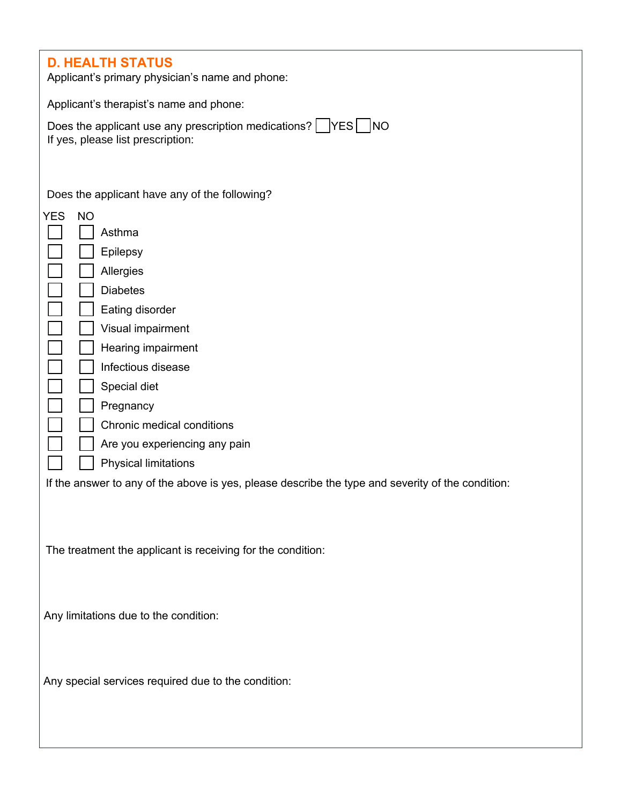# **D. HEALTH STATUS**

Applicant's primary physician's name and phone:

Applicant's therapist's name and phone:

| Does the applicant use any prescription medications? $\Box$ YES $\Box$ NO |  |
|---------------------------------------------------------------------------|--|
| If yes, please list prescription:                                         |  |

Does the applicant have any of the following?

| YES | <b>NO</b>                                                                                         |
|-----|---------------------------------------------------------------------------------------------------|
|     | Asthma                                                                                            |
|     | Epilepsy                                                                                          |
|     | Allergies                                                                                         |
|     | <b>Diabetes</b>                                                                                   |
|     | Eating disorder                                                                                   |
|     | Visual impairment                                                                                 |
|     | Hearing impairment                                                                                |
|     | Infectious disease                                                                                |
|     | Special diet                                                                                      |
|     | Pregnancy                                                                                         |
|     | Chronic medical conditions                                                                        |
|     | Are you experiencing any pain                                                                     |
|     | <b>Physical limitations</b>                                                                       |
|     | If the answer to any of the above is yes, please describe the type and severity of the condition: |
|     |                                                                                                   |
|     |                                                                                                   |
|     |                                                                                                   |
|     | The treatment the applicant is receiving for the condition:                                       |
|     |                                                                                                   |
|     |                                                                                                   |
|     | Any limitations due to the condition:                                                             |
|     |                                                                                                   |
|     |                                                                                                   |
|     | Any special services required due to the condition:                                               |
|     |                                                                                                   |
|     |                                                                                                   |
|     |                                                                                                   |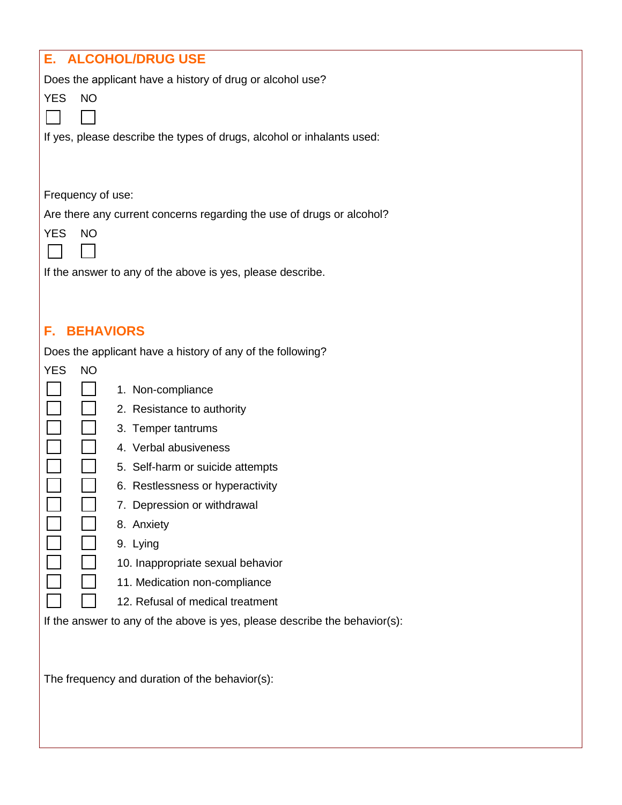| <b>E. ALCOHOL/DRUG USE</b>                                                 |  |  |  |  |
|----------------------------------------------------------------------------|--|--|--|--|
| Does the applicant have a history of drug or alcohol use?                  |  |  |  |  |
| <b>YES</b><br><b>NO</b>                                                    |  |  |  |  |
|                                                                            |  |  |  |  |
| If yes, please describe the types of drugs, alcohol or inhalants used:     |  |  |  |  |
|                                                                            |  |  |  |  |
|                                                                            |  |  |  |  |
| Frequency of use:                                                          |  |  |  |  |
| Are there any current concerns regarding the use of drugs or alcohol?      |  |  |  |  |
| <b>NO</b><br><b>YES</b>                                                    |  |  |  |  |
|                                                                            |  |  |  |  |
| If the answer to any of the above is yes, please describe.                 |  |  |  |  |
|                                                                            |  |  |  |  |
|                                                                            |  |  |  |  |
| <b>BEHAVIORS</b><br>F. .                                                   |  |  |  |  |
| Does the applicant have a history of any of the following?<br><b>NO</b>    |  |  |  |  |
| <b>YES</b>                                                                 |  |  |  |  |
| 1. Non-compliance<br>2. Resistance to authority                            |  |  |  |  |
| 3. Temper tantrums                                                         |  |  |  |  |
| 4. Verbal abusiveness                                                      |  |  |  |  |
| 5. Self-harm or suicide attempts                                           |  |  |  |  |
| 6. Restlessness or hyperactivity                                           |  |  |  |  |
| 7. Depression or withdrawal                                                |  |  |  |  |
| 8. Anxiety                                                                 |  |  |  |  |
| 9. Lying                                                                   |  |  |  |  |
| 10. Inappropriate sexual behavior                                          |  |  |  |  |
| 11. Medication non-compliance                                              |  |  |  |  |
| 12. Refusal of medical treatment                                           |  |  |  |  |
| If the answer to any of the above is yes, please describe the behavior(s): |  |  |  |  |
|                                                                            |  |  |  |  |
|                                                                            |  |  |  |  |
| The frequency and duration of the behavior(s):                             |  |  |  |  |
|                                                                            |  |  |  |  |
|                                                                            |  |  |  |  |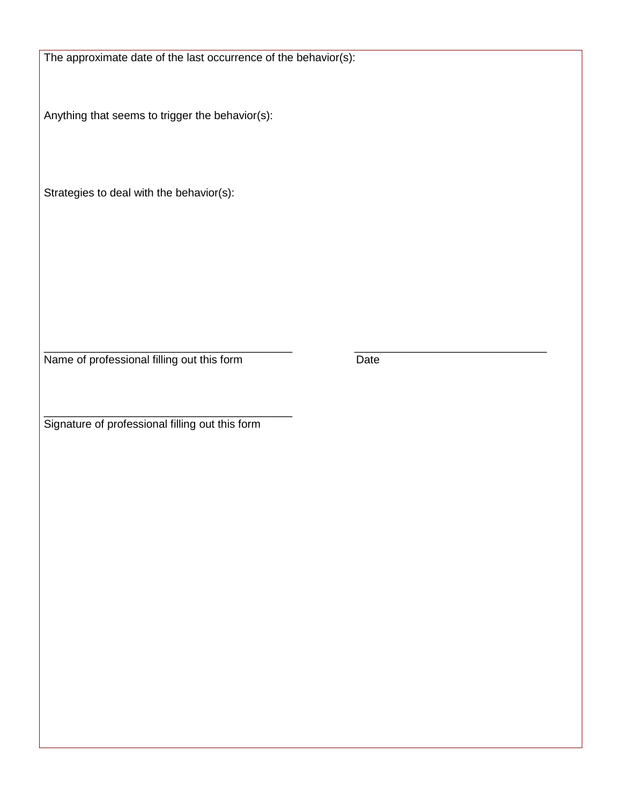The approximate date of the last occurrence of the behavior(s):

Anything that seems to trigger the behavior(s):

Strategies to deal with the behavior(s):

\_\_\_\_\_\_\_\_\_\_\_\_\_\_\_\_\_\_\_\_\_\_\_\_\_\_\_\_\_\_\_\_\_\_\_\_\_\_\_\_ \_\_\_\_\_\_\_\_\_\_\_\_\_\_\_\_\_\_\_\_\_\_\_\_\_\_\_\_\_\_\_ Name of professional filling out this form Date

\_\_\_\_\_\_\_\_\_\_\_\_\_\_\_\_\_\_\_\_\_\_\_\_\_\_\_\_\_\_\_\_\_\_\_\_\_\_\_\_ Signature of professional filling out this form